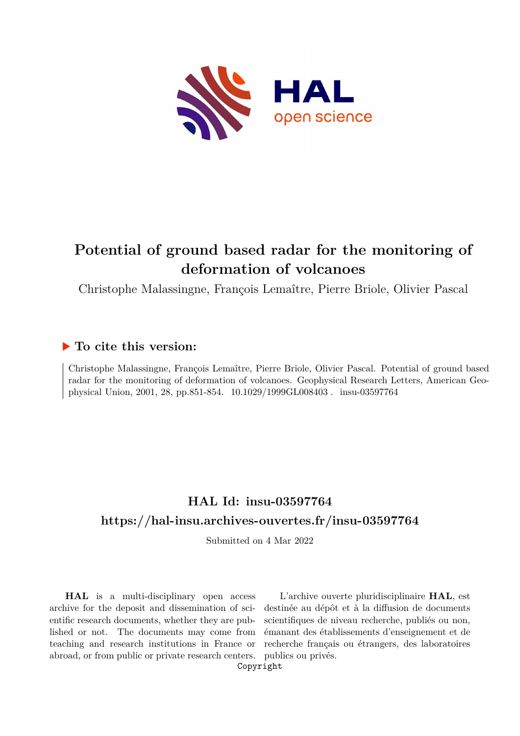

# **Potential of ground based radar for the monitoring of deformation of volcanoes**

Christophe Malassingne, François Lemaître, Pierre Briole, Olivier Pascal

### **To cite this version:**

Christophe Malassingne, François Lemaître, Pierre Briole, Olivier Pascal. Potential of ground based radar for the monitoring of deformation of volcanoes. Geophysical Research Letters, American Geophysical Union, 2001, 28, pp.851-854.  $10.1029/1999GL008403$ . insu-03597764

## **HAL Id: insu-03597764 <https://hal-insu.archives-ouvertes.fr/insu-03597764>**

Submitted on 4 Mar 2022

**HAL** is a multi-disciplinary open access archive for the deposit and dissemination of scientific research documents, whether they are published or not. The documents may come from teaching and research institutions in France or abroad, or from public or private research centers.

L'archive ouverte pluridisciplinaire **HAL**, est destinée au dépôt et à la diffusion de documents scientifiques de niveau recherche, publiés ou non, émanant des établissements d'enseignement et de recherche français ou étrangers, des laboratoires publics ou privés.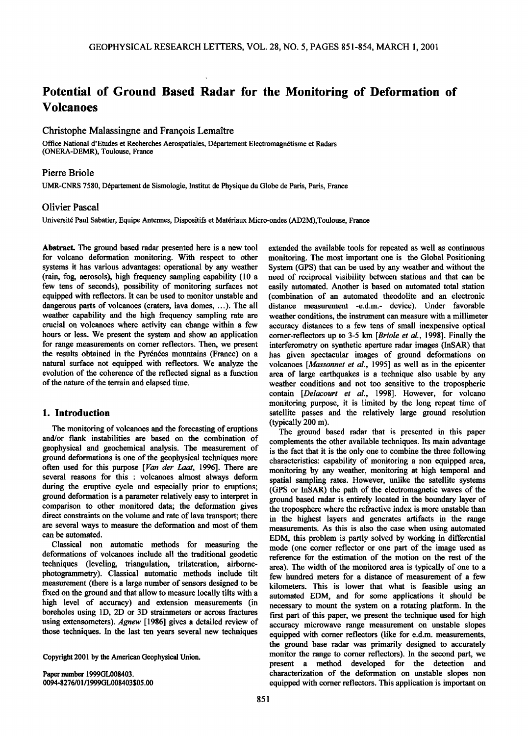## **Potential of Ground Based Radar for the Monitoring of Deformation of Volcanoes**

#### **Christophe Malassingne and François Lemaître**

Office National d'Etudes et Recherches Aerospatiales, Département Electromagnétisme et Radars **(ONERA-DEMR), Toulouse, France** 

#### **Pierre Briole**

UMR-CNRS 7580, Département de Sismologie, Institut de Physique du Globe de Paris, Paris, France

#### **Olivier Pascal**

Université Paul Sabatier, Equipe Antennes, Dispositifs et Matériaux Micro-ondes (AD2M),Toulouse, France

**Abstract. The ground based radar presented here is a new tool for volcano deformation monitoring. With respect to other systems it has various advantages: operational by any weather (rain, fog aerosols), high frequency sampling capability (10 a few tens of seconds), possibility of monitoring surfaces not equipped with reflectors. It can be used to monitor unstable and dangerous parts of volcanoes (craters, lava domes, ...). The all weather capability and the high frequency sampling rate are crucial on volcanoes where activity can change within a few**  hours or less. We present the system and show an application **for range measurements on comer reflectors. Then, we present**  the results obtained in the Pyrénées mountains (France) on a **natural surface not equipped with reflectors. We analyze the evolution of the coherence of the reflected signal as a function of the nature of the terrain and elapsed time.** 

#### **1. Introduction**

**The monitoring of volcanoes and the forecasting of eruptions and/or flank instabilities are based on the combination of geophysical and geochemical analysis. The measurement of ground deformations is one of the geophysical techniques more**  often used for this purpose [Van der Laat, 1996]. There are **several reasons for this : volcanoes almost always deform during the eruptive cycle and especially prior to eruptions;**  ground deformation is a parameter relatively easy to interpret in **comparison to other monitored data; the deformation gives direct constraints on the volume and rate of lava transport; there are several ways to measure the deformation and most of them can be automated.** 

**Classical non automatic methods for measuring the deformations of volcanoes include all the traditional geodetic techniques (leveling, triangulation, trilateration, airbomephotogrammetry). Classical automatic methods include tilt measurement (here is a large number of sensors designed to be fixed on the ground and that allow to measure locally tilts with a high level of accuracy) and extension measurements (in boreholes using 1D, 2D or 3D strainmeters or across fractures using extensometers). Agnew [1986] gives a detailed review of those techniques. In the last ten years several new techniques** 

**Copyright 2001 by the American Geophysical Union.** 

**Paper number 1999GL008403. 0094-8276/01/1999GL008403505.00** 

**extended the available tools for repeated as well as continuous monitoring. The most important one is the Global Positioning System (GPS) that can be used by any weather and without the need of reciprocal visibility between stations and that can be easily automated. Another is based on automated total station (combination of an automated theodolite and an electronic distance measurement -e.d.m.- device). Under favorable weather conditions, the instrument can measure with a millimeter accuracy distances to a few tens of small inexpensive optical comer-reflectors up to 3-5 km [Briole et al., 1998]. Finally the interferometry on synthetic aperture radar images (InSAR) that has given spectacular images of ground deformations on volcanoes [Massonnet et al., 1995] as well as in the epicenter area of large earthquakes is a technique also usable by any weather conditions and not too sensitive to the tropospheric contain [Delacourt et al., 1998]. However, for volcano monitoring purpose, it is limited by the long repeat time of satellite passes and the relatively large ground resolution (typically 200 m).** 

**The ground based radar that is presented in this paper complements the other available techniques. Its main advantage is the fact that it is the only one to combine the three following characteristics: capability of monitoring a non equipped area, monitoring by any weather, monitoring at high temporal and spatial sampling rates. However, unlike the satellite systems (GPS or InSAR) the path of the electromagnetic waves of the ground based radar is entirely located in the boundary layer of the troposphere where the refractive index is more unstable than in the highest layers and generates artifacts in the range measurements. As this is also the case when using automated EDM, this problem is partly solved by working in differential mode (one comer reflector or one part of the image used as reference for the estimation of the motion on the rest of the area). The width of the monitored area is typically of one to a few hundred meters for a distance of measurement of a few kilometers. This is lower that what is feasible using an automated EDM, and for some applications it should be necessary to mount the system on a rotating platform. In the first part of this paper, we present the technique used for high accuracy microwave range measurement on unstable slopes equipped with comer reflectors (like for e.d.m. measurements, the ground base radar was primarily designed to accurately monitor the range to comer reflectors). In the second part, we present a method developed for the detection and characterization of the deformation on unstable slopes non equipped with comer reflectors. This application is important on**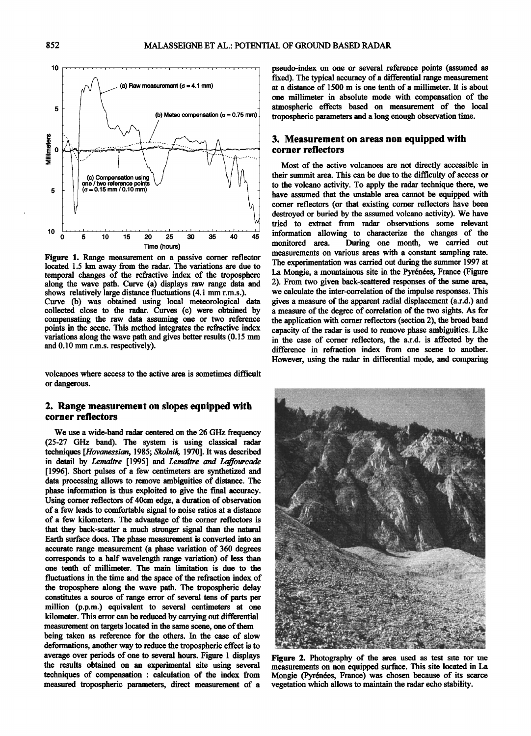

**Figure 1. Range measurement on a passive comer reflector located 1.5 km away from the radar. The variations are due to temporal changes of the refractive index of the troposphere along the wave path. Curve (a) displays raw range data and shows relatively large distance fluctuations (4.1 mm r.m.s.). Curve (b) was obtained using local meteorological data collected close to the radar. Curves (c) were obtained by compensating the raw data assuming one or two reference points in the scene. This method integrates the refractive index variations along the wave path and gives better results (0.15 mm and 0.10 mm r.m.s. respectively).** 

**volcanoes where access to the active area is sometimes difficult or dangerous.** 

#### **2. Range measurement on slopes equipped with corner reflectors**

**We use a wide-band radar centered on the 26 GHz frequency (25-27 GHz band). The system is using classical radar techniques [Hovanessian, 1985; \$kolnik, 1970]. It was described in detail by Lemattre [1995] and Lemattre and Laffourcade [1996]. Short pulses of a few centimeters are synthetized and data processing allows to remove ambiguities of distance. The phase information is thus exploited to give the final accuracy. Using comer reflectors of 40cm edge, a duration of observation of a few leads to comfortable signal to noise ratios at a distance of a few kilometers. The advantage of the comer reflectors is**  that they back-scatter a much stronger signal than the natural Earth surface does. The phase measurement is converted into an **accurate range measurement (a phase variation of 360 degrees corresponds to a half wavelength range variation) of less than one tenth of millimeter. The main limitation is due to the fluctuations in the time and the space of the refraction index of the troposphere along the wave path. The tropospheric delay constitutes asource of range error of several tens of parts per million (p.p.m.) equivalent to several centimeters at one kilometer. This error can be reduced by carrying out differential measurement on targets located in the same scene, one of them** 

**being taken as reference for the others. In the case of slow deformations, another way to reduce the tropospheric effect is to average over periods of one to several hours. Figure 1 displays the results obtained on an experimental site using several techniques of compensation : calculation of the index from measured tropospheric parameters, direct measurement of a** 

**pseudo-index on one or several reference points (assumed as fixed). The typical accuracy of a differential range measurement at a distance of 1500 m is one tenth of a millimeter. It is about one millimeter in absolute mode with compensation of the atmospheric effects based on measurement of the local tropospheric parameters and a long enough observation time.** 

#### **3. Measurement on areas non equipped with corner reflectors**

**Most of the active volcanoes are not directly accessible in their summit area. This can be due to the difficulty of access or to the volcano activity. To apply the radar technique there, we have assumed that the unstable area cannot be equipped with comer reflectors (or that existing comer reflectors have been destroyed or buried by the assumed volcano activity). We have tried to extract from radar observations some relevant information allowing to characterize the changes of the**  During one month, we carried out **measurements on various areas with a constant sampling rate. The experimentation was carried out during the summer 1997 at**  La Mongie, a mountainous site in the Pyrénées, France (Figure **2). From two given back-scattered responses of the same area, we calculate the inter-correlation of the impulse responses. This gives a measure of the apparent radial displacement (a.r.d.) and a measure of the degree of correlation of the two sights. As for the application with comer reflectors (section 2), the broad band capacity of the radar is used to remove phase ambiguities. Like in the case of comer reflectors, the a.r.d. is affected by the difference in refraction index from one scene to another. However, using the radar in differential mode, and comparing** 



**Figure 2.** Photography of the area used as test site for the **measurements on non equipped surface. This site located in La Mongie (Pyr6n6es, France) was chosen because of its scarce vegetation which allows to maintain the radar echo stability.**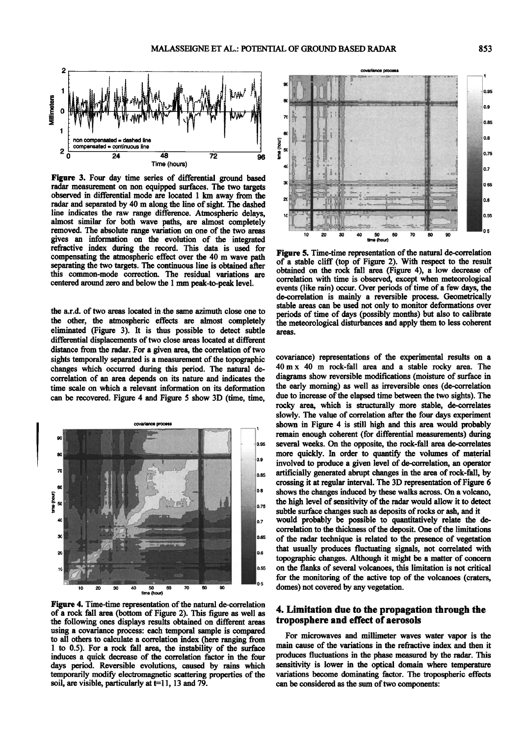

**Figure 3. Four day time series of differential ground based radar measurement on non equipped surfaces. The two targets observed in differential mode are located 1 km away from the radar and separated by 40 m along the line of sight. The dashed line indicates the raw range difference. Atmospheric delays, almost similar for both wave paths, are almost completely removed. The absolute range variation on one of the two areas gives an information on the evolution of the integrated refractive index during the record. This data is used for compensating the atmospheric effect over the 40 m wave path separating the two targets. The continuous line is obtained after this common-mode correction. The residual variations are centered around zero and below the 1 mm peak-to-peak level.** 

**the a.r.d. of two areas located in the same azimuth close one to the other, the atmospheric effects are almost completely eliminated (Figure 3). It is thus possible to detect subtle**  differential displacements of two close areas located at different **distance from the radar. For a given area, the correlation of two sights temporally separated is a measurement of the topographic changes which occurred during this period. The natural decorrelation of an area depends on its nature and indicates the time scale on which a relevant information on its deformation can be recovered. Figure 4 and Figure 5 show 3D (time, time,** 



**Figure 4. Time-time representation of the natural de-correlation of a rock fall area (bottom of Figure 2). This figure as well as the following ones displays results obtained on different areas using a covariance process: each temporal sample is compared to all others to calculate a correlation index (here ranging from 1 to 0.5). For a rock fall area, the instability of the surface induces a quick decrease of the correlation factor in the four days period. Reversible evolutions, caused by rains which temporarily modify electromagnetic scattering properties of the**  soil, are visible, particularly at t=11, 13 and 79.



**Figure 5. Time-time representation of the natural de-correlation of a stable cliff (top of Figure 2). With respect to the result obtained on the rock fall area (Figure 4), a low decrease of correlation with time is observed, except when meteorological events (like rain) occur. Over periods of time of a few days, the de-correlation is mainly a reversible process. Geometrically stable areas can be used not only to monitor deformations over periods of time of days (possibly months) but also to calibrate the meteorological disturbances and apply them to less coherent areas.** 

remain enough coherent (for differential measurements) during **local definition** remain enough conerent (for differential measurements) during<br>several weeks. On the opposite, the rock-fall area de-correlates<br>more quickly In order to quantify the volumes of material **0.85 crossing it at regular interval. The 3D representation of Figure 6 covariance) representations of the experimental results on a 40m x 40 m rock-fall area and a stable rocky area. The diagrams show reversible modifications (moisture of surface in the early morning) as well as irreversible ones (de-correlation due to increase of the elapsed time between the two sights). The rocky area, which is structurally more stable, de-correlates slowly. The value of correlation after the four days experiment**  shown in Figure 4 is still high and this area would probably **more quickly. In order to quantify the volumes of material involved to produce a given level of de-correlation, an operator artificially generated abrupt changes in the area of rock-fall, by shows the changes induced by these walks across. On a volcano, the high level of sensitivity of the radar would allow it to detect subtle surface changes such as deposits of rocks or ash, and it would probably be possible to quantitatively relate the decorrelation to the thickness of the deposit. One of the limitations of the radar technique is related to the presence of vegetation that usually produces fluctuating signals, not correlated with topographic changes. Although it might be a matter of concern on the flanks of several volcanoes, this limitation is not critical for the monitoring of the active top of the volcanoes (craters, domes) not covered by any vegetation.** 

#### **4. Limitation due to the propagation through the troposphere and effect of aerosols**

**For microwaves and millimeter waves water vapor is the main cause of the variations in the refractive index and then it produces fluctuations in the phase measured by the radar. This sensitivity is lower in the optical domain where temperature variations become dominating factor. The tropospheric effects can be considered as the sum of two components:**